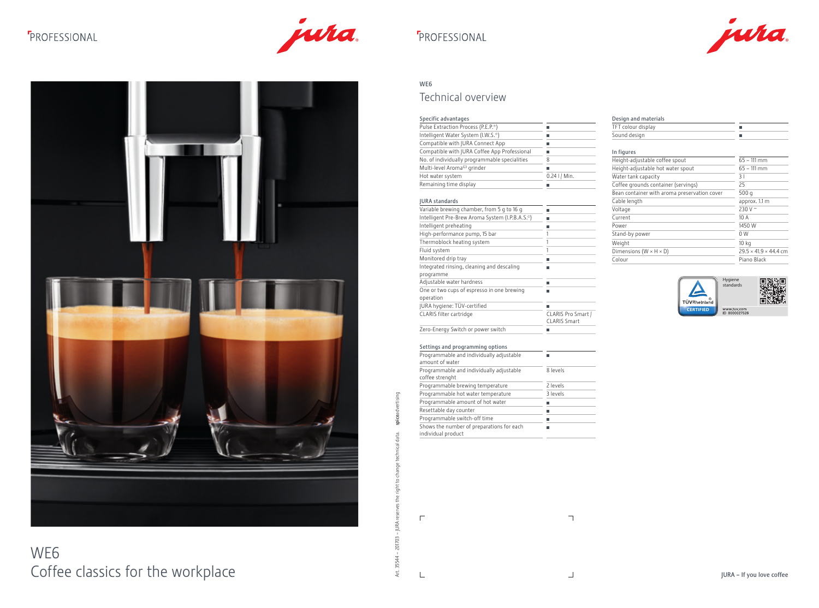# **F**PROFESSIONAL



## **F**PROFESSIONAL

# WE6 Coffee classics for the workplace

# spiceadvertising Art. 35544 – 201703 – JURA reserves the right to change technical data. spiceadvertising data.  $\frac{1}{12}$ nge Te<br>Ch  $\overline{c}$ ight the Art. 35544 - 201703 - JURA reserves

## $\overline{\phantom{a}}$

### WE6

### Technical overview

Power 2008 and 2009 and 2009 and 2009 and 2009 and 2009 and 2009 and 2009 and 2009 and 2009 and 2009 and 2009 and 2009 and 2009 and 2009 and 2009 and 2009 and 2009 and 2009 and 2009 and 2009 and 2009 and 2009 and 2009 and by power Weight 10 kg

 $\mathrel{\sqsubseteq}$ 

 $\overline{\Gamma}$ 

 $\Box$ 



### and materials

| a١ |  |
|----|--|
|    |  |
|    |  |

| Specific advantages                                         |                                           | Design and mat    |
|-------------------------------------------------------------|-------------------------------------------|-------------------|
| Pulse Extraction Process (P.E.P.®)                          | П                                         | TFT colour displa |
| Intelligent Water System (I.W.S.®)                          | Ш                                         | Sound design      |
| Compatible with JURA Connect App                            | П                                         |                   |
| Compatible with JURA Coffee App Professional                | п                                         | In figures        |
| No. of individually programmable specialities               | 8                                         | Height-adjustabl  |
| Multi-level Aroma <sup>G3</sup> grinder                     | ш                                         | Height-adjustabl  |
| Hot water system                                            | $0.24$ I / Min.                           | Water tank capa   |
| Remaining time display                                      | П                                         | Coffee grounds    |
|                                                             |                                           | Bean container v  |
| <b>JURA</b> standards                                       |                                           | Cable length      |
| Variable brewing chamber, from 5 g to 16 g                  | П                                         | Voltage           |
| Intelligent Pre-Brew Aroma System (I.P.B.A.S.®)             | П                                         | Current           |
| Intelligent preheating                                      | L.                                        | Power             |
| High-performance pump, 15 bar                               | 1                                         | Stand-by power    |
| Thermoblock heating system                                  | 1                                         | Weight            |
| Fluid system                                                | 1                                         | Dimensions (W >   |
| Monitored drip tray                                         | П                                         | Colour            |
| Integrated rinsing, cleaning and descaling                  | П                                         |                   |
| programme                                                   |                                           |                   |
| Adjustable water hardness                                   | п                                         |                   |
| One or two cups of espresso in one brewing                  | П                                         |                   |
| operation                                                   |                                           |                   |
| JURA hygiene: TÜV-certified                                 |                                           |                   |
| CLARIS filter cartridge                                     | CLARIS Pro Smart /<br><b>CLARIS Smart</b> |                   |
| Zero-Energy Switch or power switch                          | П                                         |                   |
| Settings and programming options                            |                                           |                   |
| Programmable and individually adjustable<br>amount of water | П                                         |                   |
| Programmable and individually adjustable<br>coffee strenght | 8 levels                                  |                   |
| Programmable brewing temperature                            | 2 levels                                  |                   |
| Programmable hot water temperature                          | 3 levels                                  |                   |
| Programmable amount of hot water                            | П                                         |                   |
| Resettable day counter                                      | П                                         |                   |
|                                                             | П                                         |                   |
| Programmable switch-off time                                |                                           |                   |

| $\frac{1}{2}$ |  |  |
|---------------|--|--|

| .                                            |              |
|----------------------------------------------|--------------|
| Height-adjustable coffee spout               | $65 - 111$   |
| Height-adjustable hot water spout            | $65 - 111$   |
| Water tank capacity                          | 31           |
| Coffee grounds container (servings)          | 25           |
| Bean container with aroma preservation cover | 500q         |
| Cable length                                 | approx.      |
| Voltage                                      | 230 V $\sim$ |
| Current                                      | 10 A         |

| Height-adjustable coffee spout               | $65 - 111$ mm                     |
|----------------------------------------------|-----------------------------------|
| Height-adjustable hot water spout            | $65 - 111$ mm                     |
| Water tank capacity                          | 31                                |
| Coffee grounds container (servings)          | 25                                |
| Bean container with aroma preservation cover | 500 $q$                           |
| Cable length                                 | approx. 1.1 m                     |
| Voltage                                      | 230 V $\sim$                      |
| Current                                      | 10A                               |
| Power                                        | 1450 W                            |
| Stand-by power                               | 0 <sub>W</sub>                    |
| Weight                                       | 10 <sub>kg</sub>                  |
| Dimensions ( $W \times H \times D$ )         | $29.5 \times 41.9 \times 44.4$ cm |
| Colour                                       | Piano Black                       |

Hygiene standards



www.tuv.com<br>ID 0000027526